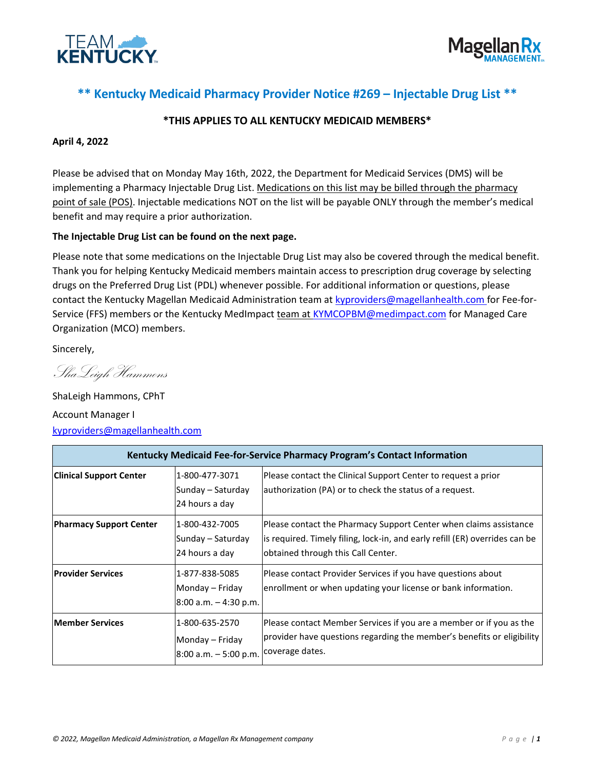



## **\*\* Kentucky Medicaid Pharmacy Provider Notice #269 – Injectable Drug List \*\***

### **\*THIS APPLIES TO ALL KENTUCKY MEDICAID MEMBERS\***

#### **April 4, 2022**

Please be advised that on Monday May 16th, 2022, the Department for Medicaid Services (DMS) will be implementing a Pharmacy Injectable Drug List. Medications on this list may be billed through the pharmacy point of sale (POS). Injectable medications NOT on the list will be payable ONLY through the member's medical benefit and may require a prior authorization.

#### **The Injectable Drug List can be found on the next page.**

Please note that some medications on the Injectable Drug List may also be covered through the medical benefit. Thank you for helping Kentucky Medicaid members maintain access to prescription drug coverage by selecting drugs on the Preferred Drug List (PDL) whenever possible. For additional information or questions, please contact the Kentucky Magellan Medicaid Administration team at [kyproviders@magellanhealth.com](mailto:kyproviders@magellanhealth.com) for Fee-for-Service (FFS) members or the Kentucky MedImpact team at [KYMCOPBM@medimpact.com](mailto:KYMCOPBM@medimpact.com) for Managed Care Organization (MCO) members.

Sincerely,

ShaLeigh Hammons

ShaLeigh Hammons, CPhT Account Manager I [kyproviders@magellanhealth.com](mailto:kyproviders@magellanhealth.com)

| Kentucky Medicaid Fee-for-Service Pharmacy Program's Contact Information |                                                                            |                                                                                                                                                                                        |
|--------------------------------------------------------------------------|----------------------------------------------------------------------------|----------------------------------------------------------------------------------------------------------------------------------------------------------------------------------------|
| <b>Clinical Support Center</b>                                           | 1-800-477-3071<br>Sunday – Saturday<br>24 hours a day                      | Please contact the Clinical Support Center to request a prior<br>authorization (PA) or to check the status of a request.                                                               |
| <b>Pharmacy Support Center</b>                                           | 1-800-432-7005<br>Sunday – Saturday<br>24 hours a day                      | Please contact the Pharmacy Support Center when claims assistance<br>is required. Timely filing, lock-in, and early refill (ER) overrides can be<br>obtained through this Call Center. |
| <b>Provider Services</b>                                                 | 1-877-838-5085<br>Monday – Friday<br>$8:00$ a.m. $-4:30$ p.m.              | Please contact Provider Services if you have questions about<br>enrollment or when updating your license or bank information.                                                          |
| <b>Member Services</b>                                                   | 1-800-635-2570<br>Monday – Friday<br>8:00 a.m. - 5:00 p.m. Coverage dates. | Please contact Member Services if you are a member or if you as the<br>provider have questions regarding the member's benefits or eligibility                                          |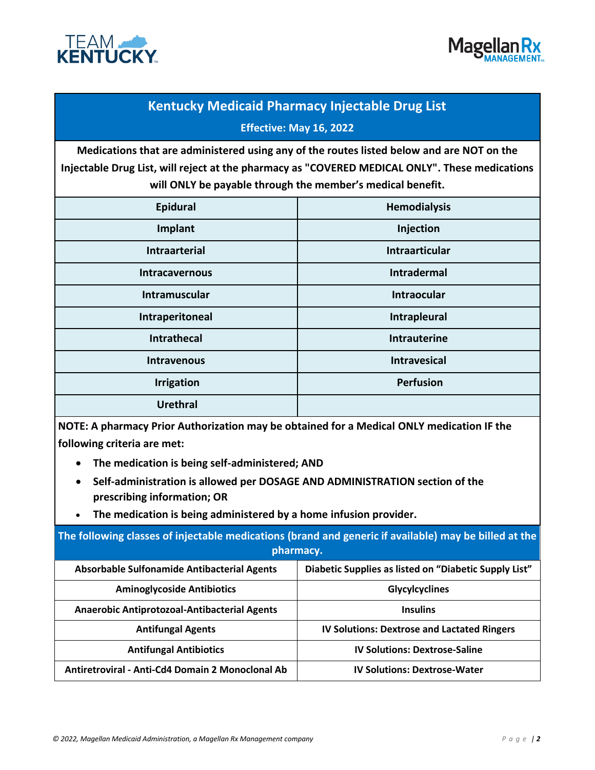



# **Kentucky Medicaid Pharmacy Injectable Drug List Effective: May 16, 2022**

**Medications that are administered using any of the routes listed below and are NOT on the Injectable Drug List, will reject at the pharmacy as "COVERED MEDICAL ONLY". These medications will ONLY be payable through the member's medical benefit.** 

| <b>Epidural</b>       | <b>Hemodialysis</b> |
|-----------------------|---------------------|
| Implant               | Injection           |
| <b>Intraarterial</b>  | Intraarticular      |
| <b>Intracavernous</b> | <b>Intradermal</b>  |
| Intramuscular         | <b>Intraocular</b>  |
| Intraperitoneal       | Intrapleural        |
| <b>Intrathecal</b>    | <b>Intrauterine</b> |
| <b>Intravenous</b>    | <b>Intravesical</b> |
| <b>Irrigation</b>     | <b>Perfusion</b>    |
| <b>Urethral</b>       |                     |

**NOTE: A pharmacy Prior Authorization may be obtained for a Medical ONLY medication IF the following criteria are met:**

- **The medication is being self-administered; AND**
- **Self-administration is allowed per DOSAGE AND ADMINISTRATION section of the prescribing information; OR**
- **The medication is being administered by a home infusion provider.**

| The following classes of injectable medications (brand and generic if available) may be billed at the<br>pharmacy. |                                                       |  |
|--------------------------------------------------------------------------------------------------------------------|-------------------------------------------------------|--|
| <b>Absorbable Sulfonamide Antibacterial Agents</b>                                                                 | Diabetic Supplies as listed on "Diabetic Supply List" |  |
| <b>Aminoglycoside Antibiotics</b>                                                                                  | Glycylcyclines                                        |  |
| <b>Anaerobic Antiprotozoal-Antibacterial Agents</b>                                                                | <b>Insulins</b>                                       |  |
| <b>Antifungal Agents</b>                                                                                           | <b>IV Solutions: Dextrose and Lactated Ringers</b>    |  |
| <b>Antifungal Antibiotics</b>                                                                                      | <b>IV Solutions: Dextrose-Saline</b>                  |  |
| Antiretroviral - Anti-Cd4 Domain 2 Monoclonal Ab                                                                   | <b>IV Solutions: Dextrose-Water</b>                   |  |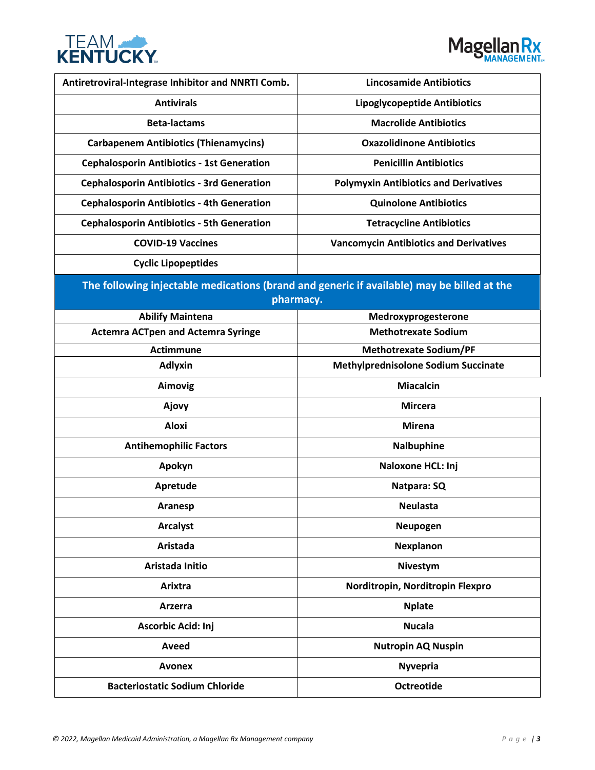



| Antiretroviral-Integrase Inhibitor and NNRTI Comb. | <b>Lincosamide Antibiotics</b>                                                             |  |  |
|----------------------------------------------------|--------------------------------------------------------------------------------------------|--|--|
| <b>Antivirals</b>                                  | <b>Lipoglycopeptide Antibiotics</b>                                                        |  |  |
| <b>Beta-lactams</b>                                | <b>Macrolide Antibiotics</b>                                                               |  |  |
| <b>Carbapenem Antibiotics (Thienamycins)</b>       | <b>Oxazolidinone Antibiotics</b>                                                           |  |  |
| <b>Cephalosporin Antibiotics - 1st Generation</b>  | <b>Penicillin Antibiotics</b>                                                              |  |  |
| <b>Cephalosporin Antibiotics - 3rd Generation</b>  | <b>Polymyxin Antibiotics and Derivatives</b>                                               |  |  |
| <b>Cephalosporin Antibiotics - 4th Generation</b>  | <b>Quinolone Antibiotics</b>                                                               |  |  |
| <b>Cephalosporin Antibiotics - 5th Generation</b>  | <b>Tetracycline Antibiotics</b>                                                            |  |  |
| <b>COVID-19 Vaccines</b>                           | <b>Vancomycin Antibiotics and Derivatives</b>                                              |  |  |
| <b>Cyclic Lipopeptides</b>                         |                                                                                            |  |  |
|                                                    | The following injectable medications (brand and generic if available) may be billed at the |  |  |
| pharmacy.                                          |                                                                                            |  |  |
| <b>Abilify Maintena</b>                            | Medroxyprogesterone                                                                        |  |  |
| <b>Actemra ACTpen and Actemra Syringe</b>          | <b>Methotrexate Sodium</b>                                                                 |  |  |
| <b>Actimmune</b>                                   | <b>Methotrexate Sodium/PF</b>                                                              |  |  |
| <b>Adlyxin</b>                                     | <b>Methylprednisolone Sodium Succinate</b>                                                 |  |  |
| Aimovig                                            | <b>Miacalcin</b>                                                                           |  |  |
| Ajovy                                              | <b>Mircera</b>                                                                             |  |  |
| <b>Aloxi</b>                                       | <b>Mirena</b>                                                                              |  |  |
| <b>Antihemophilic Factors</b>                      | <b>Nalbuphine</b>                                                                          |  |  |
| Apokyn                                             | Naloxone HCL: Inj                                                                          |  |  |
| Apretude                                           | Natpara: SQ                                                                                |  |  |
| Aranesp                                            | <b>Neulasta</b>                                                                            |  |  |
| <b>Arcalyst</b>                                    | Neupogen                                                                                   |  |  |
| <b>Aristada</b>                                    | <b>Nexplanon</b>                                                                           |  |  |
| Aristada Initio                                    | Nivestym                                                                                   |  |  |
| Arixtra                                            | Norditropin, Norditropin Flexpro                                                           |  |  |
| Arzerra                                            | <b>Nplate</b>                                                                              |  |  |
| Ascorbic Acid: Inj                                 | <b>Nucala</b>                                                                              |  |  |
| Aveed                                              | <b>Nutropin AQ Nuspin</b>                                                                  |  |  |
| <b>Avonex</b>                                      | <b>Nyvepria</b>                                                                            |  |  |
| <b>Bacteriostatic Sodium Chloride</b>              | <b>Octreotide</b>                                                                          |  |  |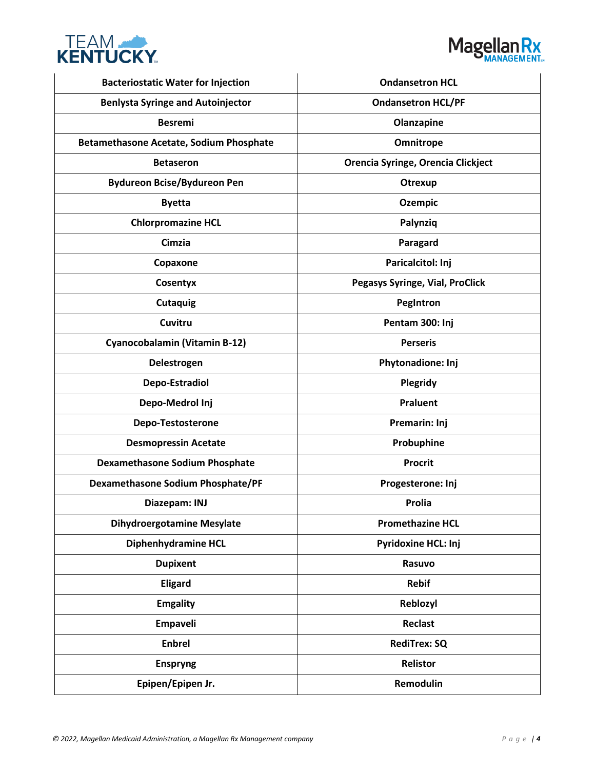



| <b>Bacteriostatic Water for Injection</b> | <b>Ondansetron HCL</b>             |
|-------------------------------------------|------------------------------------|
| <b>Benlysta Syringe and Autoinjector</b>  | <b>Ondansetron HCL/PF</b>          |
| <b>Besremi</b>                            | Olanzapine                         |
| Betamethasone Acetate, Sodium Phosphate   | Omnitrope                          |
| <b>Betaseron</b>                          | Orencia Syringe, Orencia Clickject |
| <b>Bydureon Bcise/Bydureon Pen</b>        | Otrexup                            |
| <b>Byetta</b>                             | <b>Ozempic</b>                     |
| <b>Chlorpromazine HCL</b>                 | Palynziq                           |
| Cimzia                                    | Paragard                           |
| Copaxone                                  | Paricalcitol: Inj                  |
| Cosentyx                                  | Pegasys Syringe, Vial, ProClick    |
| <b>Cutaquig</b>                           | PegIntron                          |
| Cuvitru                                   | Pentam 300: Inj                    |
| Cyanocobalamin (Vitamin B-12)             | <b>Perseris</b>                    |
| Delestrogen                               | Phytonadione: Inj                  |
| Depo-Estradiol                            | Plegridy                           |
| Depo-Medrol Inj                           | Praluent                           |
| Depo-Testosterone                         | Premarin: Inj                      |
| <b>Desmopressin Acetate</b>               | Probuphine                         |
| <b>Dexamethasone Sodium Phosphate</b>     | <b>Procrit</b>                     |
| <b>Dexamethasone Sodium Phosphate/PF</b>  | Progesterone: Inj                  |
| Diazepam: INJ                             | <b>Prolia</b>                      |
| <b>Dihydroergotamine Mesylate</b>         | <b>Promethazine HCL</b>            |
| Diphenhydramine HCL                       | <b>Pyridoxine HCL: Inj</b>         |
| <b>Dupixent</b>                           | Rasuvo                             |
| <b>Eligard</b>                            | <b>Rebif</b>                       |
| <b>Emgality</b>                           | Reblozyl                           |
| Empaveli                                  | Reclast                            |
| <b>Enbrel</b>                             | <b>RediTrex: SQ</b>                |
| <b>Enspryng</b>                           | <b>Relistor</b>                    |
| Epipen/Epipen Jr.                         | Remodulin                          |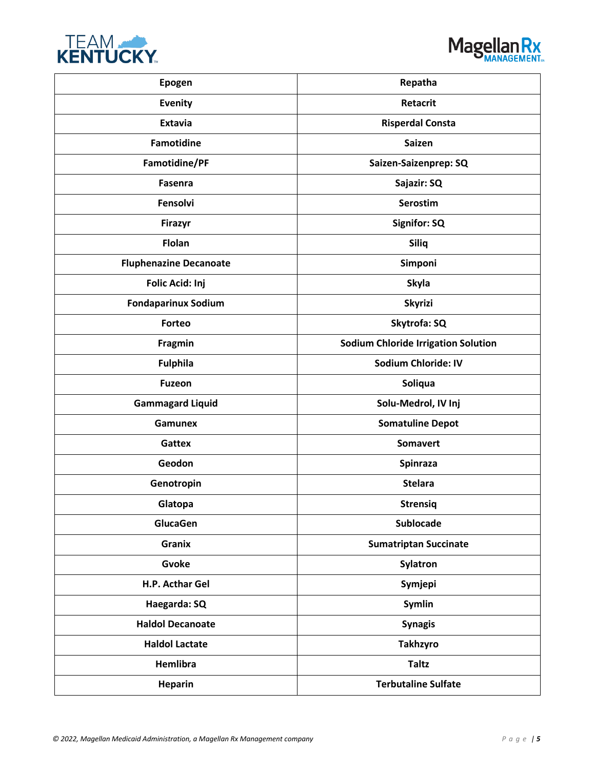



| Epogen                        | Repatha                                    |
|-------------------------------|--------------------------------------------|
| <b>Evenity</b>                | <b>Retacrit</b>                            |
| <b>Extavia</b>                | <b>Risperdal Consta</b>                    |
| <b>Famotidine</b>             | <b>Saizen</b>                              |
| Famotidine/PF                 | Saizen-Saizenprep: SQ                      |
| Fasenra                       | Sajazir: SQ                                |
| Fensolvi                      | <b>Serostim</b>                            |
| <b>Firazyr</b>                | <b>Signifor: SQ</b>                        |
| <b>Flolan</b>                 | Siliq                                      |
| <b>Fluphenazine Decanoate</b> | Simponi                                    |
| Folic Acid: Inj               | <b>Skyla</b>                               |
| <b>Fondaparinux Sodium</b>    | <b>Skyrizi</b>                             |
| Forteo                        | Skytrofa: SQ                               |
| Fragmin                       | <b>Sodium Chloride Irrigation Solution</b> |
| <b>Fulphila</b>               | <b>Sodium Chloride: IV</b>                 |
| <b>Fuzeon</b>                 | Soliqua                                    |
| <b>Gammagard Liquid</b>       | Solu-Medrol, IV Inj                        |
| Gamunex                       | <b>Somatuline Depot</b>                    |
| <b>Gattex</b>                 | <b>Somavert</b>                            |
| Geodon                        | <b>Spinraza</b>                            |
| Genotropin                    | <b>Stelara</b>                             |
| Glatopa                       | <b>Strensig</b>                            |
| GlucaGen                      | <b>Sublocade</b>                           |
| <b>Granix</b>                 | <b>Sumatriptan Succinate</b>               |
| Gvoke                         | <b>Sylatron</b>                            |
| H.P. Acthar Gel               | Symjepi                                    |
| Haegarda: SQ                  | Symlin                                     |
| <b>Haldol Decanoate</b>       | <b>Synagis</b>                             |
| <b>Haldol Lactate</b>         | <b>Takhzyro</b>                            |
| <b>Hemlibra</b>               | <b>Taltz</b>                               |
| <b>Heparin</b>                | <b>Terbutaline Sulfate</b>                 |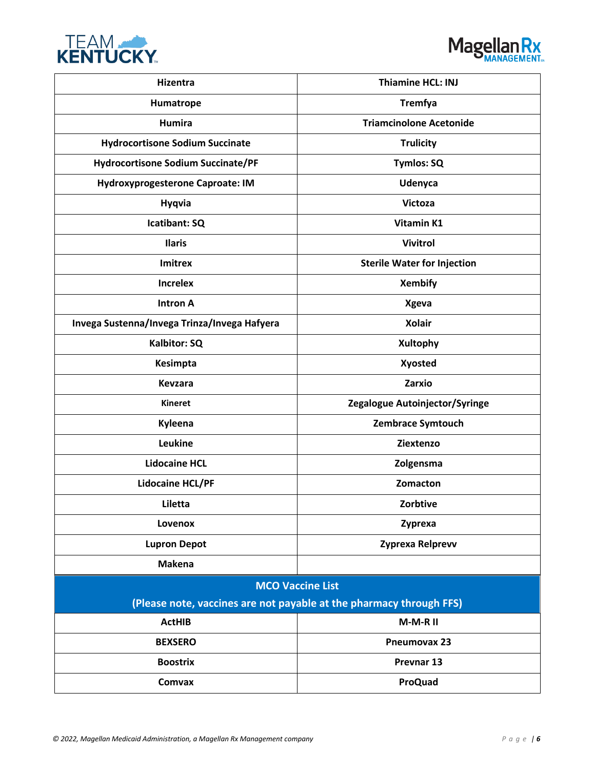



| <b>Hizentra</b>                              | <b>Thiamine HCL: INJ</b>                                            |  |
|----------------------------------------------|---------------------------------------------------------------------|--|
| Humatrope                                    | <b>Tremfya</b>                                                      |  |
| <b>Humira</b>                                | <b>Triamcinolone Acetonide</b>                                      |  |
| <b>Hydrocortisone Sodium Succinate</b>       | <b>Trulicity</b>                                                    |  |
| <b>Hydrocortisone Sodium Succinate/PF</b>    | <b>Tymlos: SQ</b>                                                   |  |
| Hydroxyprogesterone Caproate: IM             | Udenyca                                                             |  |
| <b>Hyqvia</b>                                | <b>Victoza</b>                                                      |  |
| Icatibant: SQ                                | Vitamin K1                                                          |  |
| <b>Ilaris</b>                                | <b>Vivitrol</b>                                                     |  |
| <b>Imitrex</b>                               | <b>Sterile Water for Injection</b>                                  |  |
| <b>Increlex</b>                              | <b>Xembify</b>                                                      |  |
| <b>Intron A</b>                              | <b>Xgeva</b>                                                        |  |
| Invega Sustenna/Invega Trinza/Invega Hafyera | <b>Xolair</b>                                                       |  |
| Kalbitor: SQ                                 | <b>Xultophy</b>                                                     |  |
| Kesimpta                                     | <b>Xyosted</b>                                                      |  |
| <b>Kevzara</b>                               | Zarxio                                                              |  |
| <b>Kineret</b>                               | Zegalogue Autoinjector/Syringe                                      |  |
| Kyleena                                      | Zembrace Symtouch                                                   |  |
| Leukine                                      | Ziextenzo                                                           |  |
| <b>Lidocaine HCL</b>                         | Zolgensma                                                           |  |
| <b>Lidocaine HCL/PF</b>                      | Zomacton                                                            |  |
| Liletta                                      | Zorbtive                                                            |  |
| Lovenox                                      | Zyprexa                                                             |  |
| <b>Lupron Depot</b>                          | Zyprexa Relprevv                                                    |  |
| <b>Makena</b>                                |                                                                     |  |
| <b>MCO Vaccine List</b>                      |                                                                     |  |
|                                              | (Please note, vaccines are not payable at the pharmacy through FFS) |  |
| <b>ActHIB</b>                                | M-M-R II                                                            |  |
| <b>BEXSERO</b>                               | Pneumovax 23                                                        |  |
| <b>Boostrix</b>                              | Prevnar 13                                                          |  |
| Comvax                                       | <b>ProQuad</b>                                                      |  |